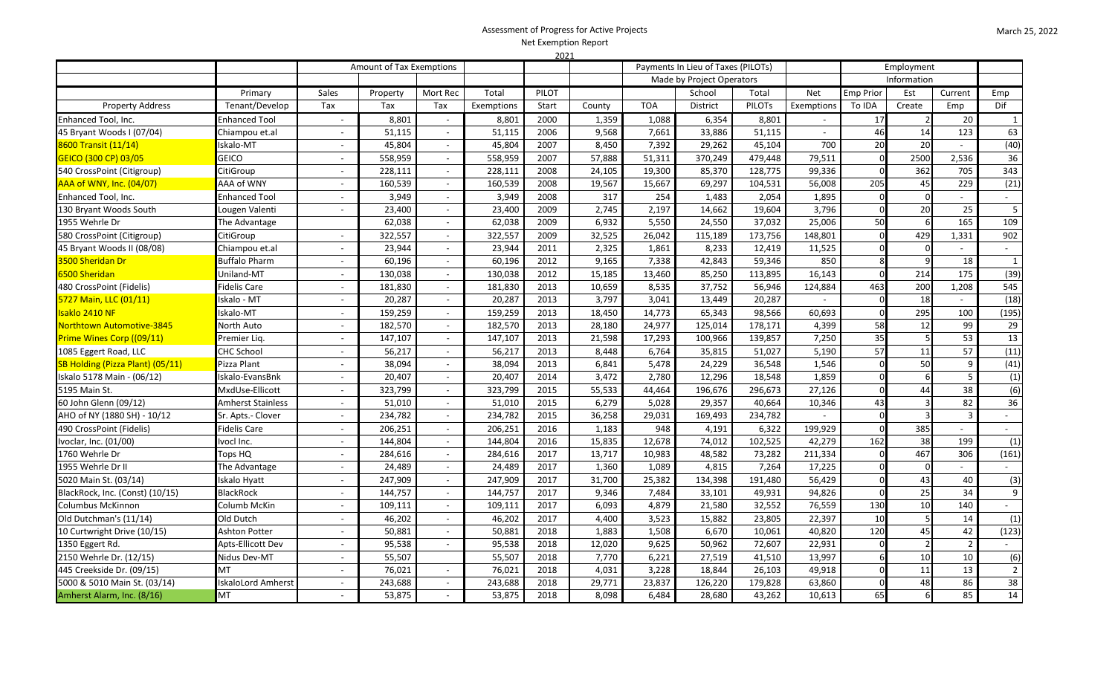## Assessment of Progress for Active Projects Net Exemption Report 2021

|                                  |                           | Amount of Tax Exemptions |          |                             |            |       | 2021<br>Payments In Lieu of Taxes (PILOTs)<br>Employment |                           |                 |               |                  |             |               |                 |                             |
|----------------------------------|---------------------------|--------------------------|----------|-----------------------------|------------|-------|----------------------------------------------------------|---------------------------|-----------------|---------------|------------------|-------------|---------------|-----------------|-----------------------------|
|                                  |                           |                          |          |                             |            |       |                                                          | Made by Project Operators |                 |               |                  | Information |               |                 |                             |
|                                  | Primary                   | Sales                    | Property | Mort Rec                    | Total      | PILOT |                                                          | School<br>Total           |                 | Net           | <b>Emp Prior</b> | Est         | Current       | Emp             |                             |
| <b>Property Address</b>          | Tenant/Develop            | Tax                      | Tax      | Tax                         | Exemptions | Start | County                                                   | <b>TOA</b>                | <b>District</b> | <b>PILOTS</b> | Exemptions       | To IDA      | Create        | Emp             | Dif                         |
| Enhanced Tool, Inc.              | <b>Enhanced Tool</b>      | $\sim$                   | 8,801    | $\sim$                      | 8,801      | 2000  | 1,359                                                    | 1,088                     | 6,354           | 8,801         |                  | 17          | $\mathcal{P}$ | $\overline{20}$ | $\mathbf{1}$                |
| 45 Bryant Woods I (07/04)        | Chiampou et.al            |                          | 51,115   | $\sim$                      | 51,115     | 2006  | 9,568                                                    | 7,661                     | 33,886          | 51,115        | $\sim$           | 46          | 14            | 123             | 63                          |
| 8600 Transit (11/14)             | Iskalo-MT                 | $\sim$                   | 45,804   | $\sim$                      | 45,804     | 2007  | 8,450                                                    | 7,392                     | 29,262          | 45,104        | 700              | 20          | 20            | $\sim$          | (40)                        |
| GEICO (300 CP) 03/05             | GEICO                     |                          | 558,959  | $\sim$                      | 558,959    | 2007  | 57,888                                                   | 51,311                    | 370,249         | 479,448       | 79,511           | $\Omega$    | 2500          | 2,536           | 36                          |
| 540 CrossPoint (Citigroup)       | CitiGroup                 | $\sim$                   | 228,111  | $\sim$                      | 228,111    | 2008  | 24,105                                                   | 19,300                    | 85,370          | 128,775       | 99,336           | $\Omega$    | 362           | 705             | 343                         |
| <b>AAA of WNY, Inc. (04/07)</b>  | AAA of WNY                |                          | 160,539  | $\sim$                      | 160,539    | 2008  | 19,567                                                   | 15,667                    | 69,297          | 104,531       | 56,008           | 205         | 45            | 229             | (21)                        |
| Enhanced Tool, Inc.              | Enhanced Tool             | $\sim$                   | 3,949    | $\sim$                      | 3,949      | 2008  | 317                                                      | 254                       | 1,483           | 2,054         | 1,895            | $\Omega$    | $\Omega$      | $\sim$          | $\sim$                      |
| 130 Bryant Woods South           | Lougen Valenti            |                          | 23,400   | $\sim$                      | 23,400     | 2009  | 2,745                                                    | 2,197                     | 14,662          | 19,604        | 3,796            |             | 20            | 25              | 5                           |
| 1955 Wehrle Dr                   | The Advantage             |                          | 62,038   | $\sim$                      | 62,038     | 2009  | 6,932                                                    | 5,550                     | 24,550          | 37,032        | 25,006           | 50          |               | 165             | 109                         |
| 580 CrossPoint (Citigroup)       | CitiGroup                 | $\sim$                   | 322,557  | $\sim$                      | 322,557    | 2009  | 32,525                                                   | 26,042                    | 115,189         | 173,756       | 148,801          |             | 429           | 1,331           | 902                         |
| 45 Bryant Woods II (08/08)       | Chiampou et.al            | $\sim$                   | 23,944   | $\sim$                      | 23,944     | 2011  | 2,325                                                    | 1,861                     | 8,233           | 12,419        | 11,525           |             | $\Omega$      | $\sim$          | $\sim$                      |
| 3500 Sheridan Dr                 | <b>Buffalo Pharm</b>      | $\sim$                   | 60,196   | $\sim$                      | 60,196     | 2012  | 9,165                                                    | 7,338                     | 42,843          | 59,346        | 850              |             |               | 18              | $\mathbf{1}$                |
| 6500 Sheridan                    | <b>Jniland-MT</b>         | $\sim$                   | 130,038  | $\omega$                    | 130,038    | 2012  | 15,185                                                   | 13,460                    | 85,250          | 113,895       | 16,143           | $\Omega$    | 214           | 175             | (39)                        |
| 480 CrossPoint (Fidelis)         | Fidelis Care              | $\sim$                   | 181,830  | $\sim$                      | 181,830    | 2013  | 10,659                                                   | 8,535                     | 37,752          | 56,946        | 124,884          | 463         | 200           | 1,208           | 545                         |
| 5727 Main, LLC (01/11)           | skalo - MT                | $\sim$                   | 20,287   | $\blacksquare$              | 20,287     | 2013  | 3,797                                                    | 3,041                     | 13,449          | 20,287        | $\sim$           | $\Omega$    | 18            | $\sim$          | (18)                        |
| Isaklo 2410 NF                   | Iskalo-MT                 |                          | 159,259  | $\blacksquare$              | 159,259    | 2013  | 18,450                                                   | 14,773                    | 65,343          | 98,566        | 60,693           |             | 295           | 100             | (195)                       |
| Northtown Automotive-3845        | North Auto                | $\sim$                   | 182,570  | $\mathcal{L}_{\mathcal{A}}$ | 182,570    | 2013  | 28,180                                                   | 24,977                    | 125,014         | 178,171       | 4,399            | 58          | 12            | 99              | 29                          |
| Prime Wines Corp ((09/11)        | Premier Lig.              | $\sim$                   | 147,107  | $\sim$                      | 147,107    | 2013  | 21,598                                                   | 17,293                    | 100,966         | 139,857       | 7,250            | 35          |               | 53              | 13                          |
| 1085 Eggert Road, LLC            | CHC School                | $\sim$                   | 56,217   | $\sim$                      | 56,217     | 2013  | 8,448                                                    | 6,764                     | 35,815          | 51,027        | 5,190            | 57          | 11            | 57              | (11)                        |
| SB Holding (Pizza Plant) (05/11) | Pizza Plant               |                          | 38,094   | $\sim$                      | 38,094     | 2013  | 6,841                                                    | 5,478                     | 24,229          | 36,548        | 1,546            |             | 50            | 9               | (41)                        |
| Iskalo 5178 Main - (06/12)       | Iskalo-EvansBnk           | $\sim$                   | 20,407   | $\sim$                      | 20,407     | 2014  | 3,472                                                    | 2,780                     | 12,296          | 18,548        | 1,859            | $\Omega$    |               | 5               | (1)                         |
| 5195 Main St.                    | MxdUse-Ellicott           | $\sim$                   | 323,799  | $\sim$                      | 323,799    | 2015  | 55,533                                                   | 44,464                    | 196,676         | 296,673       | 27,126           | $\Omega$    | 44            | 38              | (6)                         |
| 60 John Glenn (09/12)            | <b>Amherst Stainless</b>  | $\sim$                   | 51,010   | $\sim$                      | 51,010     | 2015  | 6,279                                                    | 5,028                     | 29,357          | 40,664        | 10,346           | 43          |               | 82              | 36                          |
| AHO of NY (1880 SH) - 10/12      | Sr. Apts.- Clover         | $\sim$                   | 234,782  | $\sim$                      | 234,782    | 2015  | 36,258                                                   | 29,031                    | 169,493         | 234,782       |                  |             |               | $\overline{3}$  | $\mathcal{L}_{\mathcal{A}}$ |
| 490 CrossPoint (Fidelis)         | <b>Fidelis Care</b>       | $\sim$                   | 206,251  | $\sim$                      | 206,251    | 2016  | 1,183                                                    | 948                       | 4,191           | 6,322         | 199,929          | $\Omega$    | 385           | $\sim$          | $\sim$                      |
| Ivoclar, Inc. (01/00)            | Ivocl Inc.                | $\overline{\phantom{a}}$ | 144,804  | $\sim$                      | 144,804    | 2016  | 15,835                                                   | 12,678                    | 74,012          | 102,525       | 42,279           | 162         | 38            | 199             | (1)                         |
| 1760 Wehrle Dr                   | Tops HQ                   | $\overline{a}$           | 284,616  | $\sim$                      | 284,616    | 2017  | 13,717                                                   | 10,983                    | 48,582          | 73,282        | 211,334          | $\Omega$    | 467           | 306             | (161)                       |
| 1955 Wehrle Dr II                | The Advantage             | $\sim$                   | 24,489   | $\sim$                      | 24,489     | 2017  | 1,360                                                    | 1,089                     | 4,815           | 7,264         | 17,225           |             |               | $\sim$          | $\mathbf{r}$                |
| 5020 Main St. (03/14)            | Iskalo Hyatt              | $\sim$                   | 247,909  | $\sim$                      | 247,909    | 2017  | 31,700                                                   | 25,382                    | 134,398         | 191,480       | 56,429           | $\Omega$    | 43            | 40              | (3)                         |
| BlackRock, Inc. (Const) (10/15)  | <b>BlackRock</b>          | $\sim$                   | 144,757  | $\sim$                      | 144,757    | 2017  | 9,346                                                    | 7,484                     | 33,101          | 49,931        | 94,826           | $\Omega$    | 25            | 34              | 9                           |
| <b>Columbus McKinnon</b>         | Columb McKin              | $\sim$                   | 109,111  | $\sim$                      | 109,111    | 2017  | 6,093                                                    | 4,879                     | 21,580          | 32,552        | 76,559           | 130         | 10            | 140             | $\sim$                      |
| Old Dutchman's (11/14)           | Old Dutch                 | $\sim$                   | 46,202   | $\sim$                      | 46,202     | 2017  | 4,400                                                    | 3,523                     | 15,882          | 23,805        | 22,397           | 10          |               | 14              | (1)                         |
| 10 Curtwright Drive (10/15)      | <b>Ashton Potter</b>      | $\sim$                   | 50,881   | $\sim$                      | 50,881     | 2018  | 1,883                                                    | 1,508                     | 6,670           | 10,061        | 40,820           | 120         | 45            | 42              | (123)                       |
| 1350 Eggert Rd.                  | Apts-Ellicott Dev         | $\mathbf{r}$             | 95,538   | $\sim$                      | 95,538     | 2018  | 12,020                                                   | 9,625                     | 50,962          | 72,607        | 22,931           | $\Omega$    |               | $\overline{2}$  | $\sim$                      |
| 2150 Wehrle Dr. (12/15)          | Nidus Dev-MT              | $\sim$                   | 55,507   |                             | 55,507     | 2018  | 7,770                                                    | 6,221                     | 27,519          | 41,510        | 13,997           |             | 10            | 10              | (6)                         |
| 445 Creekside Dr. (09/15)        | MT                        |                          | 76,021   | $\sim$                      | 76,021     | 2018  | 4,031                                                    | 3,228                     | 18,844          | 26,103        | 49,918           |             | 11            | 13              | $\overline{2}$              |
| 5000 & 5010 Main St. (03/14)     | <b>IskaloLord Amherst</b> | $\sim$                   | 243,688  | $\sim$                      | 243,688    | 2018  | 29,771                                                   | 23,837                    | 126,220         | 179,828       | 63,860           | $\Omega$    | 48            | 86              | 38                          |
| Amherst Alarm, Inc. (8/16)       | МT                        |                          | 53,875   | $\sim$                      | 53,875     | 2018  | 8,098                                                    | 6,484                     | 28,680          | 43,262        | 10,613           | 65          |               | 85              | 14                          |